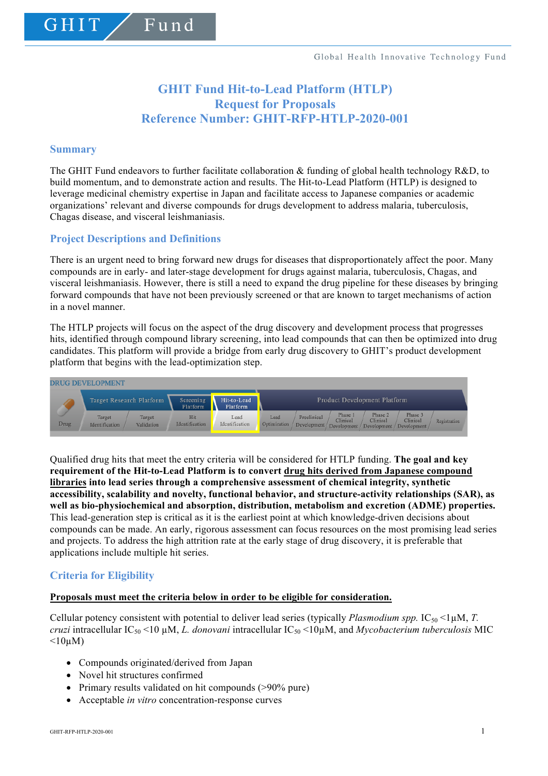# **GHIT Fund Hit-to-Lead Platform (HTLP) Request for Proposals Reference Number: GHIT-RFP-HTLP-2020-001**

#### **Summary**

GHIT

The GHIT Fund endeavors to further facilitate collaboration & funding of global health technology R&D, to build momentum, and to demonstrate action and results. The Hit-to-Lead Platform (HTLP) is designed to leverage medicinal chemistry expertise in Japan and facilitate access to Japanese companies or academic organizations' relevant and diverse compounds for drugs development to address malaria, tuberculosis, Chagas disease, and visceral leishmaniasis.

# **Project Descriptions and Definitions**

Fund

There is an urgent need to bring forward new drugs for diseases that disproportionately affect the poor. Many compounds are in early- and later-stage development for drugs against malaria, tuberculosis, Chagas, and visceral leishmaniasis. However, there is still a need to expand the drug pipeline for these diseases by bringing forward compounds that have not been previously screened or that are known to target mechanisms of action in a novel manner.

The HTLP projects will focus on the aspect of the drug discovery and development process that progresses hits, identified through compound library screening, into lead compounds that can then be optimized into drug candidates. This platform will provide a bridge from early drug discovery to GHIT's product development platform that begins with the lead-optimization step.



Qualified drug hits that meet the entry criteria will be considered for HTLP funding. **The goal and key requirement of the Hit-to-Lead Platform is to convert drug hits derived from Japanese compound libraries into lead series through a comprehensive assessment of chemical integrity, synthetic accessibility, scalability and novelty, functional behavior, and structure-activity relationships (SAR), as well as bio-physiochemical and absorption, distribution, metabolism and excretion (ADME) properties.** This lead-generation step is critical as it is the earliest point at which knowledge-driven decisions about compounds can be made. An early, rigorous assessment can focus resources on the most promising lead series and projects. To address the high attrition rate at the early stage of drug discovery, it is preferable that applications include multiple hit series.

# **Criteria for Eligibility**

#### **Proposals must meet the criteria below in order to be eligible for consideration.**

Cellular potency consistent with potential to deliver lead series (typically *Plasmodium spp.*  $IC_{50}$  <1 $\mu$ M, *T. cruzi* intracellular IC50 <10 µM, *L. donovani* intracellular IC50 <10µM, and *Mycobacterium tuberculosis* MIC  $\leq 10 \mu M$ )

- Compounds originated/derived from Japan
- Novel hit structures confirmed
- Primary results validated on hit compounds (>90% pure)
- Acceptable *in vitro* concentration-response curves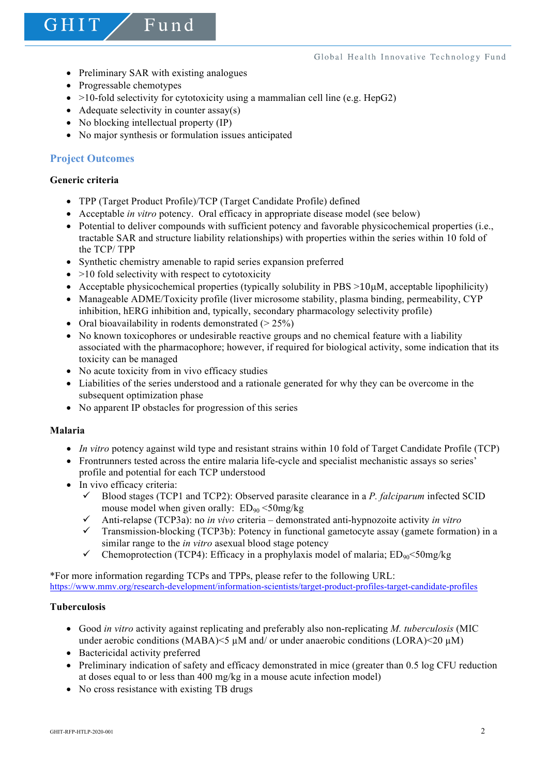• Preliminary SAR with existing analogues

Fund

- Progressable chemotypes
- $>10$ -fold selectivity for cytotoxicity using a mammalian cell line (e.g. HepG2)
- Adequate selectivity in counter  $assay(s)$
- No blocking intellectual property (IP)
- No major synthesis or formulation issues anticipated

# **Project Outcomes**

# **Generic criteria**

GHIT

- TPP (Target Product Profile)/TCP (Target Candidate Profile) defined
- Acceptable *in vitro* potency. Oral efficacy in appropriate disease model (see below)
- Potential to deliver compounds with sufficient potency and favorable physicochemical properties (i.e., tractable SAR and structure liability relationships) with properties within the series within 10 fold of the TCP/ TPP
- Synthetic chemistry amenable to rapid series expansion preferred
- $\bullet$  >10 fold selectivity with respect to cytotoxicity
- Acceptable physicochemical properties (typically solubility in  $PBS >10\mu$ M, acceptable lipophilicity)
- Manageable ADME/Toxicity profile (liver microsome stability, plasma binding, permeability, CYP inhibition, hERG inhibition and, typically, secondary pharmacology selectivity profile)
- Oral bioavailability in rodents demonstrated  $(> 25\%)$
- No known toxicophores or undesirable reactive groups and no chemical feature with a liability associated with the pharmacophore; however, if required for biological activity, some indication that its toxicity can be managed
- No acute toxicity from in vivo efficacy studies
- Liabilities of the series understood and a rationale generated for why they can be overcome in the subsequent optimization phase
- No apparent IP obstacles for progression of this series

# **Malaria**

- *In vitro* potency against wild type and resistant strains within 10 fold of Target Candidate Profile (TCP)
- Frontrunners tested across the entire malaria life-cycle and specialist mechanistic assays so series' profile and potential for each TCP understood
- In vivo efficacy criteria:
	- $\checkmark$  Blood stages (TCP1 and TCP2): Observed parasite clearance in a *P. falciparum* infected SCID mouse model when given orally:  $ED_{90} < 50$ mg/kg
	- $\checkmark$  Anti-relapse (TCP3a): no *in vivo* criteria demonstrated anti-hypnozoite activity *in vitro*
	- $\checkmark$  Transmission-blocking (TCP3b): Potency in functional gametocyte assay (gamete formation) in a similar range to the *in vitro* asexual blood stage potency
	- $\checkmark$  Chemoprotection (TCP4): Efficacy in a prophylaxis model of malaria; ED<sub>90</sub><50mg/kg

\*For more information regarding TCPs and TPPs, please refer to the following URL: https://www.mmv.org/research-development/information-scientists/target-product-profiles-target-candidate-profiles

# **Tuberculosis**

- Good *in vitro* activity against replicating and preferably also non-replicating *M. tuberculosis* (MIC under aerobic conditions (MABA) $\leq$   $\mu$ M and/ or under anaerobic conditions (LORA) $\leq$ 20  $\mu$ M)
- Bactericidal activity preferred
- Preliminary indication of safety and efficacy demonstrated in mice (greater than 0.5 log CFU reduction at doses equal to or less than 400 mg/kg in a mouse acute infection model)
- No cross resistance with existing TB drugs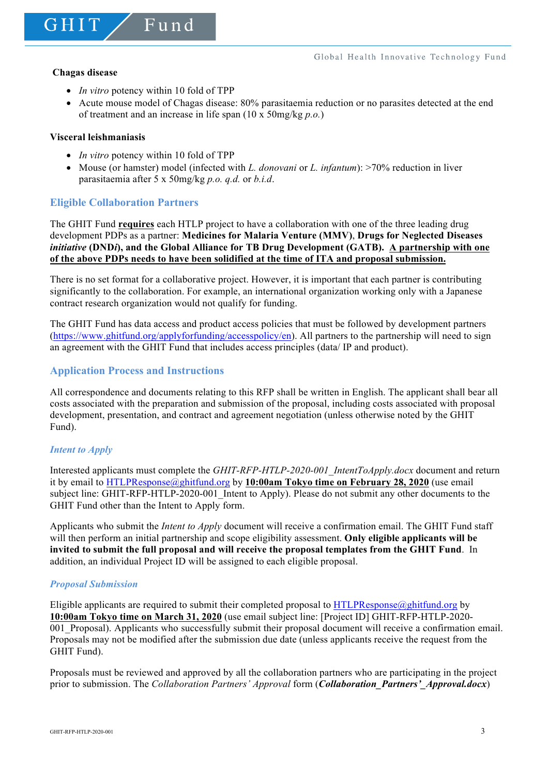GHIT

• *In vitro* potency within 10 fold of TPP

 $F$ und

• Acute mouse model of Chagas disease: 80% parasitaemia reduction or no parasites detected at the end of treatment and an increase in life span (10 x 50mg/kg *p.o.*)

#### **Visceral leishmaniasis**

- *In vitro* potency within 10 fold of TPP
- Mouse (or hamster) model (infected with *L. donovani* or *L. infantum*): >70% reduction in liver parasitaemia after 5 x 50mg/kg *p.o. q.d.* or *b.i.d*.

# **Eligible Collaboration Partners**

The GHIT Fund **requires** each HTLP project to have a collaboration with one of the three leading drug development PDPs as a partner: **Medicines for Malaria Venture (MMV)**, **Drugs for Neglected Diseases**  *initiative* **(DND***i***), and the Global Alliance for TB Drug Development (GATB). A partnership with one of the above PDPs needs to have been solidified at the time of ITA and proposal submission.**

There is no set format for a collaborative project. However, it is important that each partner is contributing significantly to the collaboration. For example, an international organization working only with a Japanese contract research organization would not qualify for funding.

The GHIT Fund has data access and product access policies that must be followed by development partners (https://www.ghitfund.org/applyforfunding/accesspolicy/en). All partners to the partnership will need to sign an agreement with the GHIT Fund that includes access principles (data/ IP and product).

# **Application Process and Instructions**

All correspondence and documents relating to this RFP shall be written in English. The applicant shall bear all costs associated with the preparation and submission of the proposal, including costs associated with proposal development, presentation, and contract and agreement negotiation (unless otherwise noted by the GHIT Fund).

# *Intent to Apply*

Interested applicants must complete the *GHIT-RFP-HTLP-2020-001\_IntentToApply.docx* document and return it by email to HTLPResponse@ghitfund.org by **10:00am Tokyo time on February 28, 2020** (use email subject line: GHIT-RFP-HTLP-2020-001\_Intent to Apply). Please do not submit any other documents to the GHIT Fund other than the Intent to Apply form.

Applicants who submit the *Intent to Apply* document will receive a confirmation email. The GHIT Fund staff will then perform an initial partnership and scope eligibility assessment. **Only eligible applicants will be invited to submit the full proposal and will receive the proposal templates from the GHIT Fund**. In addition, an individual Project ID will be assigned to each eligible proposal.

#### *Proposal Submission*

Eligible applicants are required to submit their completed proposal to HTLPResponse@ghitfund.org by **10:00am Tokyo time on March 31, 2020** (use email subject line: [Project ID] GHIT-RFP-HTLP-2020- 001 Proposal). Applicants who successfully submit their proposal document will receive a confirmation email. Proposals may not be modified after the submission due date (unless applicants receive the request from the GHIT Fund).

Proposals must be reviewed and approved by all the collaboration partners who are participating in the project prior to submission. The *Collaboration Partners' Approval* form (*Collaboration\_Partners'\_Approval.docx*)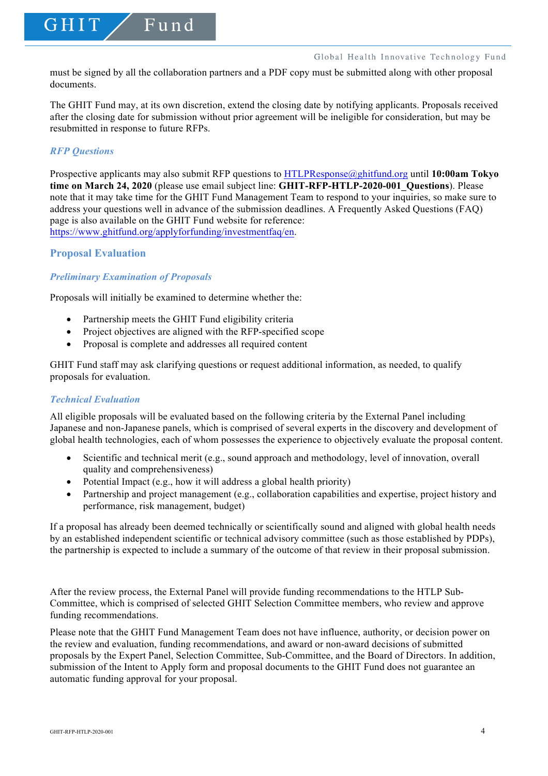must be signed by all the collaboration partners and a PDF copy must be submitted along with other proposal documents.

The GHIT Fund may, at its own discretion, extend the closing date by notifying applicants. Proposals received after the closing date for submission without prior agreement will be ineligible for consideration, but may be resubmitted in response to future RFPs.

#### *RFP Questions*

GHIT

Prospective applicants may also submit RFP questions to HTLPResponse@ghitfund.org until **10:00am Tokyo time on March 24, 2020** (please use email subject line: **GHIT-RFP-HTLP-2020-001\_Questions**). Please note that it may take time for the GHIT Fund Management Team to respond to your inquiries, so make sure to address your questions well in advance of the submission deadlines. A Frequently Asked Questions (FAQ) page is also available on the GHIT Fund website for reference: https://www.ghitfund.org/applyforfunding/investmentfaq/en.

#### **Proposal Evaluation**

# *Preliminary Examination of Proposals*

Proposals will initially be examined to determine whether the:

Fund

- Partnership meets the GHIT Fund eligibility criteria
- Project objectives are aligned with the RFP-specified scope
- Proposal is complete and addresses all required content

GHIT Fund staff may ask clarifying questions or request additional information, as needed, to qualify proposals for evaluation.

#### *Technical Evaluation*

All eligible proposals will be evaluated based on the following criteria by the External Panel including Japanese and non-Japanese panels, which is comprised of several experts in the discovery and development of global health technologies, each of whom possesses the experience to objectively evaluate the proposal content.

- Scientific and technical merit (e.g., sound approach and methodology, level of innovation, overall quality and comprehensiveness)
- Potential Impact (e.g., how it will address a global health priority)
- Partnership and project management (e.g., collaboration capabilities and expertise, project history and performance, risk management, budget)

If a proposal has already been deemed technically or scientifically sound and aligned with global health needs by an established independent scientific or technical advisory committee (such as those established by PDPs), the partnership is expected to include a summary of the outcome of that review in their proposal submission.

After the review process, the External Panel will provide funding recommendations to the HTLP Sub-Committee, which is comprised of selected GHIT Selection Committee members, who review and approve funding recommendations.

Please note that the GHIT Fund Management Team does not have influence, authority, or decision power on the review and evaluation, funding recommendations, and award or non-award decisions of submitted proposals by the Expert Panel, Selection Committee, Sub-Committee, and the Board of Directors. In addition, submission of the Intent to Apply form and proposal documents to the GHIT Fund does not guarantee an automatic funding approval for your proposal.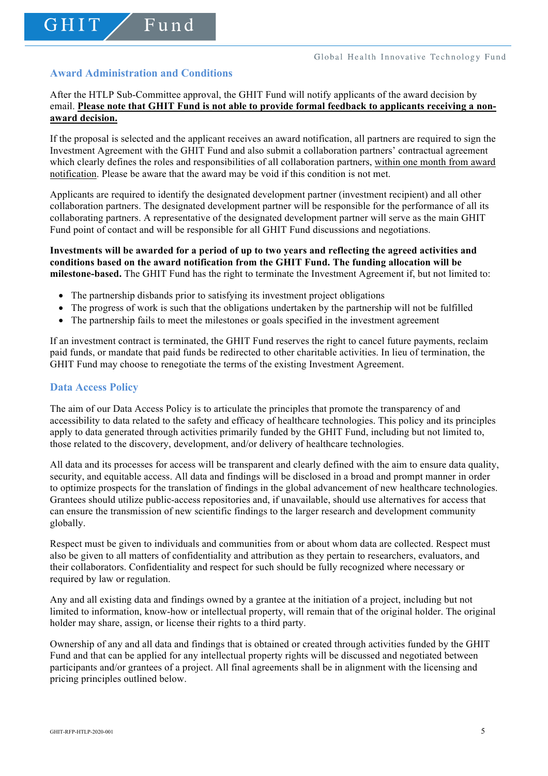# **Award Administration and Conditions**

GHIT

Fund

After the HTLP Sub-Committee approval, the GHIT Fund will notify applicants of the award decision by email. **Please note that GHIT Fund is not able to provide formal feedback to applicants receiving a nonaward decision.**

If the proposal is selected and the applicant receives an award notification, all partners are required to sign the Investment Agreement with the GHIT Fund and also submit a collaboration partners' contractual agreement which clearly defines the roles and responsibilities of all collaboration partners, within one month from award notification. Please be aware that the award may be void if this condition is not met.

Applicants are required to identify the designated development partner (investment recipient) and all other collaboration partners. The designated development partner will be responsible for the performance of all its collaborating partners. A representative of the designated development partner will serve as the main GHIT Fund point of contact and will be responsible for all GHIT Fund discussions and negotiations.

#### **Investments will be awarded for a period of up to two years and reflecting the agreed activities and conditions based on the award notification from the GHIT Fund. The funding allocation will be milestone-based.** The GHIT Fund has the right to terminate the Investment Agreement if, but not limited to:

- The partnership disbands prior to satisfying its investment project obligations
- The progress of work is such that the obligations undertaken by the partnership will not be fulfilled
- The partnership fails to meet the milestones or goals specified in the investment agreement

If an investment contract is terminated, the GHIT Fund reserves the right to cancel future payments, reclaim paid funds, or mandate that paid funds be redirected to other charitable activities. In lieu of termination, the GHIT Fund may choose to renegotiate the terms of the existing Investment Agreement.

#### **Data Access Policy**

The aim of our Data Access Policy is to articulate the principles that promote the transparency of and accessibility to data related to the safety and efficacy of healthcare technologies. This policy and its principles apply to data generated through activities primarily funded by the GHIT Fund, including but not limited to, those related to the discovery, development, and/or delivery of healthcare technologies.

All data and its processes for access will be transparent and clearly defined with the aim to ensure data quality, security, and equitable access. All data and findings will be disclosed in a broad and prompt manner in order to optimize prospects for the translation of findings in the global advancement of new healthcare technologies. Grantees should utilize public-access repositories and, if unavailable, should use alternatives for access that can ensure the transmission of new scientific findings to the larger research and development community globally.

Respect must be given to individuals and communities from or about whom data are collected. Respect must also be given to all matters of confidentiality and attribution as they pertain to researchers, evaluators, and their collaborators. Confidentiality and respect for such should be fully recognized where necessary or required by law or regulation.

Any and all existing data and findings owned by a grantee at the initiation of a project, including but not limited to information, know-how or intellectual property, will remain that of the original holder. The original holder may share, assign, or license their rights to a third party.

Ownership of any and all data and findings that is obtained or created through activities funded by the GHIT Fund and that can be applied for any intellectual property rights will be discussed and negotiated between participants and/or grantees of a project. All final agreements shall be in alignment with the licensing and pricing principles outlined below.